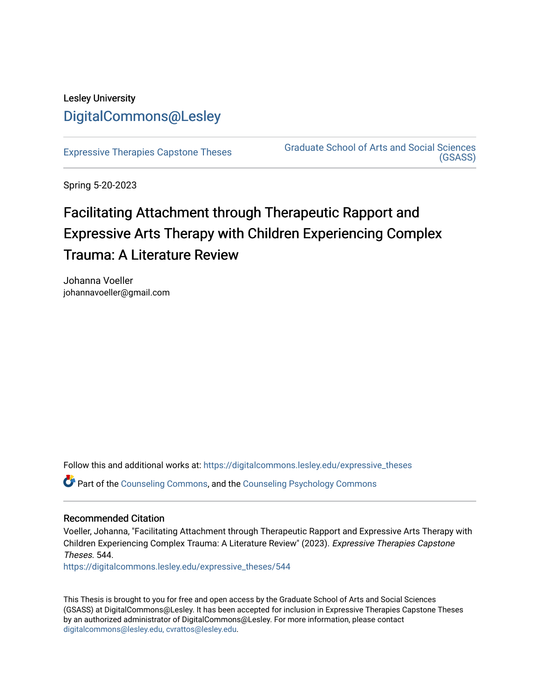# Lesley University [DigitalCommons@Lesley](https://digitalcommons.lesley.edu/)

[Expressive Therapies Capstone Theses](https://digitalcommons.lesley.edu/expressive_theses) Graduate School of Arts and Social Sciences [\(GSASS\)](https://digitalcommons.lesley.edu/gsass) 

Spring 5-20-2023

# Facilitating Attachment through Therapeutic Rapport and Expressive Arts Therapy with Children Experiencing Complex Trauma: A Literature Review

Johanna Voeller johannavoeller@gmail.com

Follow this and additional works at: [https://digitalcommons.lesley.edu/expressive\\_theses](https://digitalcommons.lesley.edu/expressive_theses?utm_source=digitalcommons.lesley.edu%2Fexpressive_theses%2F544&utm_medium=PDF&utm_campaign=PDFCoverPages)

Part of the [Counseling Commons,](http://network.bepress.com/hgg/discipline/1268?utm_source=digitalcommons.lesley.edu%2Fexpressive_theses%2F544&utm_medium=PDF&utm_campaign=PDFCoverPages) and the [Counseling Psychology Commons](http://network.bepress.com/hgg/discipline/1044?utm_source=digitalcommons.lesley.edu%2Fexpressive_theses%2F544&utm_medium=PDF&utm_campaign=PDFCoverPages)

# Recommended Citation

Voeller, Johanna, "Facilitating Attachment through Therapeutic Rapport and Expressive Arts Therapy with Children Experiencing Complex Trauma: A Literature Review" (2023). Expressive Therapies Capstone Theses. 544.

[https://digitalcommons.lesley.edu/expressive\\_theses/544](https://digitalcommons.lesley.edu/expressive_theses/544?utm_source=digitalcommons.lesley.edu%2Fexpressive_theses%2F544&utm_medium=PDF&utm_campaign=PDFCoverPages)

This Thesis is brought to you for free and open access by the Graduate School of Arts and Social Sciences (GSASS) at DigitalCommons@Lesley. It has been accepted for inclusion in Expressive Therapies Capstone Theses by an authorized administrator of DigitalCommons@Lesley. For more information, please contact [digitalcommons@lesley.edu, cvrattos@lesley.edu](mailto:digitalcommons@lesley.edu,%20cvrattos@lesley.edu).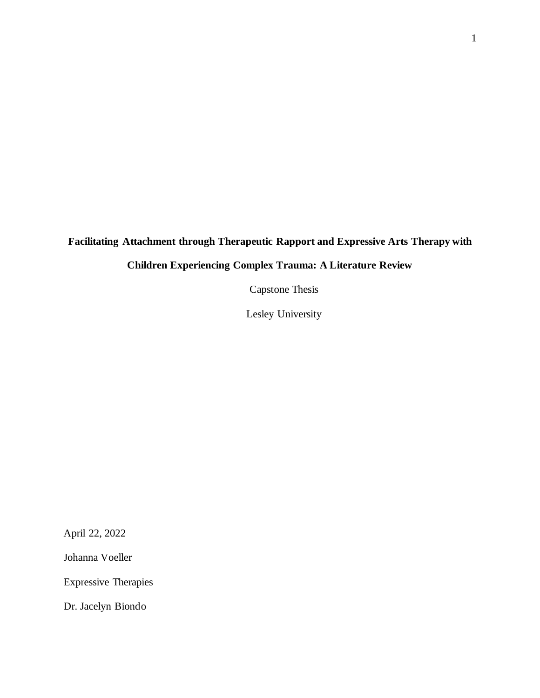# **Facilitating Attachment through Therapeutic Rapport and Expressive Arts Therapy with**

# **Children Experiencing Complex Trauma: A Literature Review**

Capstone Thesis

Lesley University

April 22, 2022

Johanna Voeller

Expressive Therapies

Dr. Jacelyn Biondo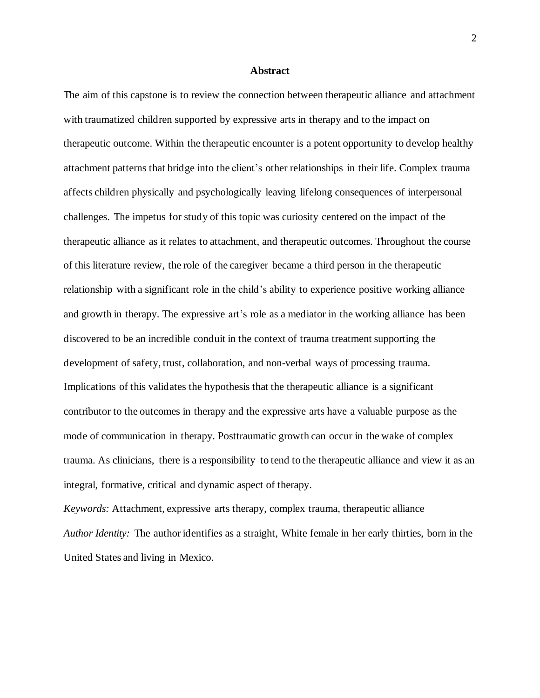#### **Abstract**

The aim of this capstone is to review the connection between therapeutic alliance and attachment with traumatized children supported by expressive arts in therapy and to the impact on therapeutic outcome. Within the therapeutic encounter is a potent opportunity to develop healthy attachment patterns that bridge into the client's other relationships in their life. Complex trauma affects children physically and psychologically leaving lifelong consequences of interpersonal challenges. The impetus for study of this topic was curiosity centered on the impact of the therapeutic alliance as it relates to attachment, and therapeutic outcomes. Throughout the course of this literature review, the role of the caregiver became a third person in the therapeutic relationship with a significant role in the child's ability to experience positive working alliance and growth in therapy. The expressive art's role as a mediator in the working alliance has been discovered to be an incredible conduit in the context of trauma treatment supporting the development of safety, trust, collaboration, and non-verbal ways of processing trauma. Implications of this validates the hypothesis that the therapeutic alliance is a significant contributor to the outcomes in therapy and the expressive arts have a valuable purpose as the mode of communication in therapy. Posttraumatic growth can occur in the wake of complex trauma. As clinicians, there is a responsibility to tend to the therapeutic alliance and view it as an integral, formative, critical and dynamic aspect of therapy.

*Keywords:* Attachment, expressive arts therapy, complex trauma, therapeutic alliance *Author Identity:* The author identifies as a straight, White female in her early thirties, born in the United States and living in Mexico.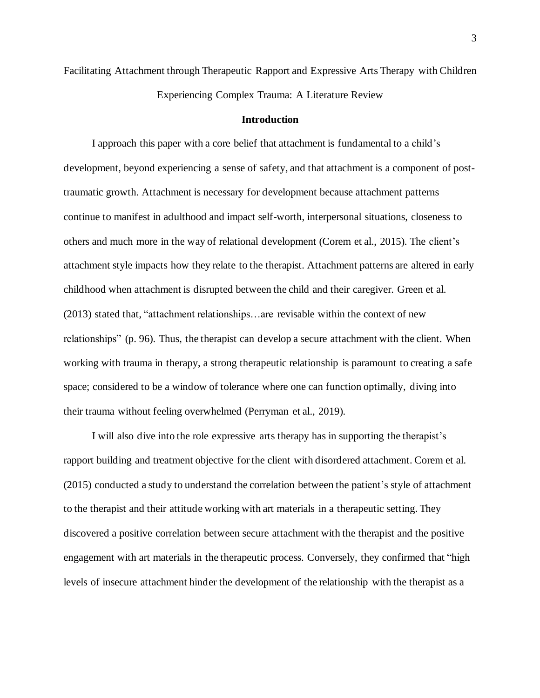Facilitating Attachment through Therapeutic Rapport and Expressive Arts Therapy with Children Experiencing Complex Trauma: A Literature Review

#### **Introduction**

I approach this paper with a core belief that attachment is fundamental to a child's development, beyond experiencing a sense of safety, and that attachment is a component of posttraumatic growth. Attachment is necessary for development because attachment patterns continue to manifest in adulthood and impact self-worth, interpersonal situations, closeness to others and much more in the way of relational development (Corem et al., 2015). The client's attachment style impacts how they relate to the therapist. Attachment patterns are altered in early childhood when attachment is disrupted between the child and their caregiver. Green et al. (2013) stated that, "attachment relationships…are revisable within the context of new relationships" (p. 96). Thus, the therapist can develop a secure attachment with the client. When working with trauma in therapy, a strong therapeutic relationship is paramount to creating a safe space; considered to be a window of tolerance where one can function optimally, diving into their trauma without feeling overwhelmed (Perryman et al., 2019).

I will also dive into the role expressive arts therapy has in supporting the therapist's rapport building and treatment objective for the client with disordered attachment. Corem et al. (2015) conducted a study to understand the correlation between the patient's style of attachment to the therapist and their attitude working with art materials in a therapeutic setting. They discovered a positive correlation between secure attachment with the therapist and the positive engagement with art materials in the therapeutic process. Conversely, they confirmed that "high levels of insecure attachment hinder the development of the relationship with the therapist as a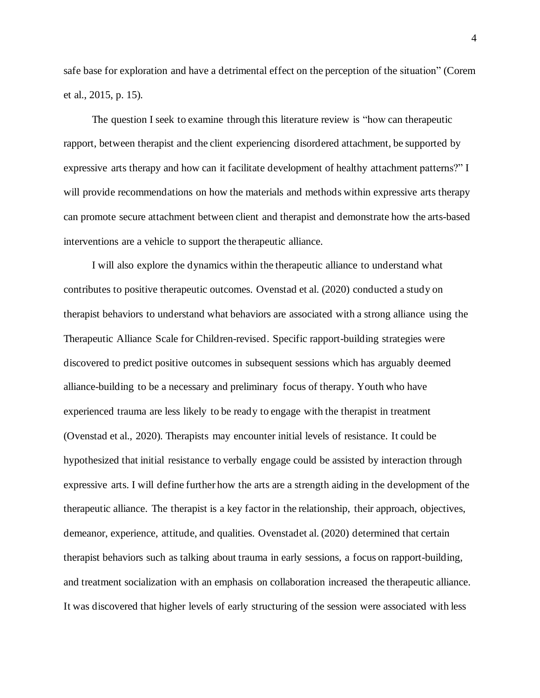safe base for exploration and have a detrimental effect on the perception of the situation" (Corem et al., 2015, p. 15).

The question I seek to examine through this literature review is "how can therapeutic rapport, between therapist and the client experiencing disordered attachment, be supported by expressive arts therapy and how can it facilitate development of healthy attachment patterns?" I will provide recommendations on how the materials and methods within expressive arts therapy can promote secure attachment between client and therapist and demonstrate how the arts-based interventions are a vehicle to support the therapeutic alliance.

I will also explore the dynamics within the therapeutic alliance to understand what contributes to positive therapeutic outcomes. Ovenstad et al. (2020) conducted a study on therapist behaviors to understand what behaviors are associated with a strong alliance using the Therapeutic Alliance Scale for Children-revised. Specific rapport-building strategies were discovered to predict positive outcomes in subsequent sessions which has arguably deemed alliance-building to be a necessary and preliminary focus of therapy. Youth who have experienced trauma are less likely to be ready to engage with the therapist in treatment (Ovenstad et al., 2020). Therapists may encounter initial levels of resistance. It could be hypothesized that initial resistance to verbally engage could be assisted by interaction through expressive arts. I will define further how the arts are a strength aiding in the development of the therapeutic alliance. The therapist is a key factor in the relationship, their approach, objectives, demeanor, experience, attitude, and qualities. Ovenstadet al. (2020) determined that certain therapist behaviors such as talking about trauma in early sessions, a focus on rapport-building, and treatment socialization with an emphasis on collaboration increased the therapeutic alliance. It was discovered that higher levels of early structuring of the session were associated with less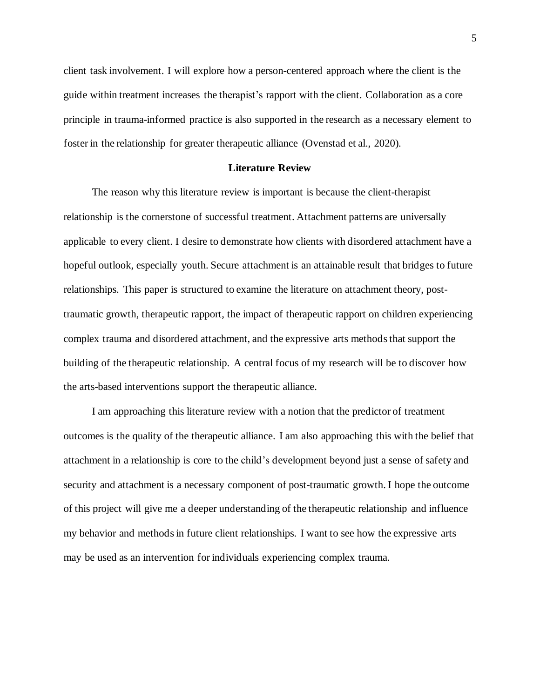client task involvement. I will explore how a person-centered approach where the client is the guide within treatment increases the therapist's rapport with the client. Collaboration as a core principle in trauma-informed practice is also supported in the research as a necessary element to foster in the relationship for greater therapeutic alliance (Ovenstad et al., 2020).

#### **Literature Review**

The reason why this literature review is important is because the client-therapist relationship is the cornerstone of successful treatment. Attachment patterns are universally applicable to every client. I desire to demonstrate how clients with disordered attachment have a hopeful outlook, especially youth. Secure attachment is an attainable result that bridges to future relationships. This paper is structured to examine the literature on attachment theory, posttraumatic growth, therapeutic rapport, the impact of therapeutic rapport on children experiencing complex trauma and disordered attachment, and the expressive arts methodsthat support the building of the therapeutic relationship. A central focus of my research will be to discover how the arts-based interventions support the therapeutic alliance.

I am approaching this literature review with a notion that the predictor of treatment outcomes is the quality of the therapeutic alliance. I am also approaching this with the belief that attachment in a relationship is core to the child's development beyond just a sense of safety and security and attachment is a necessary component of post-traumatic growth. I hope the outcome of this project will give me a deeper understanding of the therapeutic relationship and influence my behavior and methodsin future client relationships. I want to see how the expressive arts may be used as an intervention for individuals experiencing complex trauma.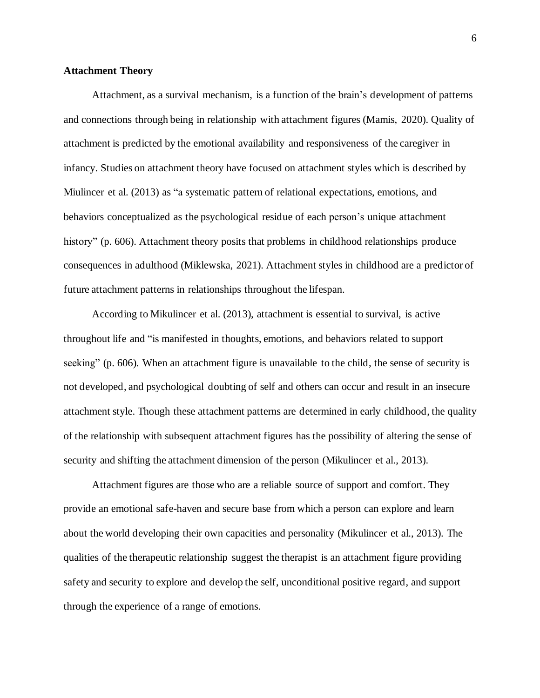## **Attachment Theory**

Attachment, as a survival mechanism, is a function of the brain's development of patterns and connections through being in relationship with attachment figures (Mamis, 2020). Quality of attachment is predicted by the emotional availability and responsiveness of the caregiver in infancy. Studies on attachment theory have focused on attachment styles which is described by Miulincer et al. (2013) as "a systematic pattern of relational expectations, emotions, and behaviors conceptualized as the psychological residue of each person's unique attachment history" (p. 606). Attachment theory posits that problems in childhood relationships produce consequences in adulthood (Miklewska, 2021). Attachment styles in childhood are a predictor of future attachment patterns in relationships throughout the lifespan.

According to Mikulincer et al. (2013), attachment is essential to survival, is active throughout life and "is manifested in thoughts, emotions, and behaviors related to support seeking" (p. 606). When an attachment figure is unavailable to the child, the sense of security is not developed, and psychological doubting of self and others can occur and result in an insecure attachment style. Though these attachment patterns are determined in early childhood, the quality of the relationship with subsequent attachment figures has the possibility of altering the sense of security and shifting the attachment dimension of the person (Mikulincer et al., 2013).

Attachment figures are those who are a reliable source of support and comfort. They provide an emotional safe-haven and secure base from which a person can explore and learn about the world developing their own capacities and personality (Mikulincer et al., 2013). The qualities of the therapeutic relationship suggest the therapist is an attachment figure providing safety and security to explore and develop the self, unconditional positive regard, and support through the experience of a range of emotions.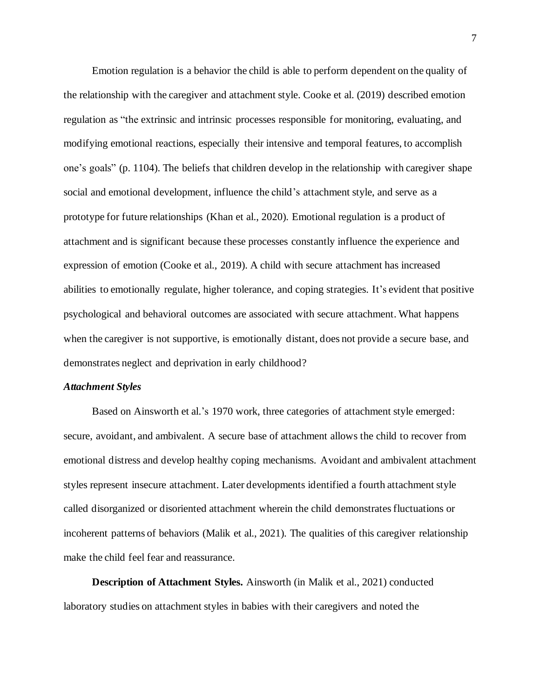Emotion regulation is a behavior the child is able to perform dependent on the quality of the relationship with the caregiver and attachment style. Cooke et al. (2019) described emotion regulation as "the extrinsic and intrinsic processes responsible for monitoring, evaluating, and modifying emotional reactions, especially their intensive and temporal features, to accomplish one's goals" (p. 1104). The beliefs that children develop in the relationship with caregiver shape social and emotional development, influence the child's attachment style, and serve as a prototype for future relationships (Khan et al., 2020). Emotional regulation is a product of attachment and is significant because these processes constantly influence the experience and expression of emotion (Cooke et al., 2019). A child with secure attachment has increased abilities to emotionally regulate, higher tolerance, and coping strategies. It's evident that positive psychological and behavioral outcomes are associated with secure attachment. What happens when the caregiver is not supportive, is emotionally distant, does not provide a secure base, and demonstrates neglect and deprivation in early childhood?

### *Attachment Styles*

Based on Ainsworth et al.'s 1970 work, three categories of attachment style emerged: secure, avoidant, and ambivalent. A secure base of attachment allows the child to recover from emotional distress and develop healthy coping mechanisms. Avoidant and ambivalent attachment styles represent insecure attachment. Later developments identified a fourth attachment style called disorganized or disoriented attachment wherein the child demonstratesfluctuations or incoherent patterns of behaviors (Malik et al., 2021). The qualities of this caregiver relationship make the child feel fear and reassurance.

**Description of Attachment Styles.** Ainsworth (in Malik et al., 2021) conducted laboratory studies on attachment styles in babies with their caregivers and noted the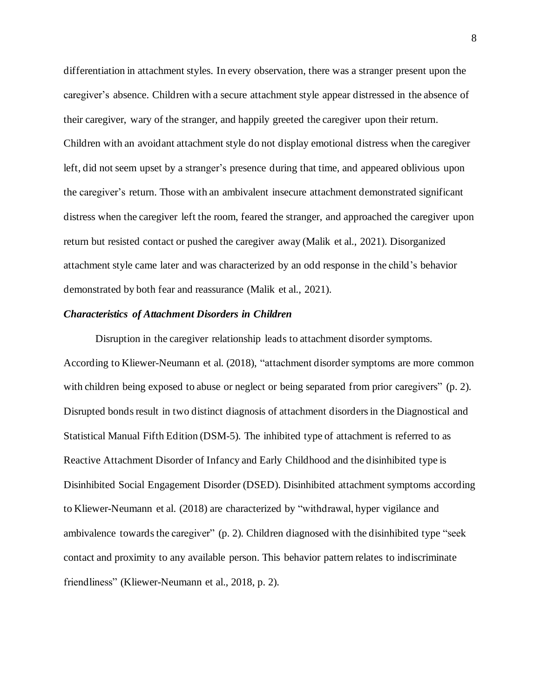differentiation in attachment styles. In every observation, there was a stranger present upon the caregiver's absence. Children with a secure attachment style appear distressed in the absence of their caregiver, wary of the stranger, and happily greeted the caregiver upon their return. Children with an avoidant attachment style do not display emotional distress when the caregiver left, did not seem upset by a stranger's presence during that time, and appeared oblivious upon the caregiver's return. Those with an ambivalent insecure attachment demonstrated significant distress when the caregiver left the room, feared the stranger, and approached the caregiver upon return but resisted contact or pushed the caregiver away (Malik et al., 2021). Disorganized attachment style came later and was characterized by an odd response in the child's behavior demonstrated by both fear and reassurance (Malik et al., 2021).

#### *Characteristics of Attachment Disorders in Children*

Disruption in the caregiver relationship leads to attachment disorder symptoms. According to Kliewer-Neumann et al. (2018), "attachment disorder symptoms are more common with children being exposed to abuse or neglect or being separated from prior caregivers" (p. 2). Disrupted bonds result in two distinct diagnosis of attachment disorders in the Diagnostical and Statistical Manual Fifth Edition (DSM-5). The inhibited type of attachment is referred to as Reactive Attachment Disorder of Infancy and Early Childhood and the disinhibited type is Disinhibited Social Engagement Disorder (DSED). Disinhibited attachment symptoms according to Kliewer-Neumann et al. (2018) are characterized by "withdrawal, hyper vigilance and ambivalence towards the caregiver" (p. 2). Children diagnosed with the disinhibited type "seek contact and proximity to any available person. This behavior pattern relates to indiscriminate friendliness" (Kliewer-Neumann et al., 2018, p. 2).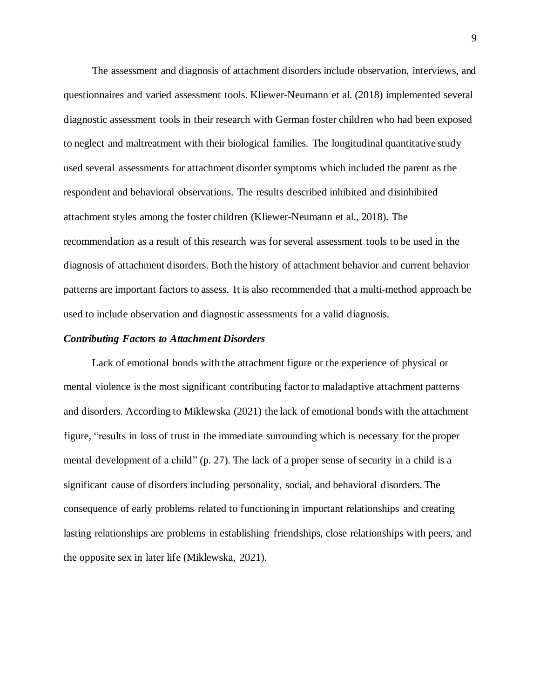The assessment and diagnosis of attachment disorders include observation, interviews, and questionnaires and varied assessment tools. Kliewer-Neumann et al. (2018) implemented several diagnostic assessment tools in their research with German foster children who had been exposed to neglect and maltreatment with their biological families. The longitudinal quantitative study used several assessments for attachment disordersymptoms which included the parent as the respondent and behavioral observations. The results described inhibited and disinhibited attachment styles among the foster children (Kliewer-Neumann et al., 2018). The recommendation as a result of this research was for several assessment tools to be used in the diagnosis of attachment disorders. Both the history of attachment behavior and current behavior patterns are important factors to assess. It is also recommended that a multi-method approach be used to include observation and diagnostic assessments for a valid diagnosis.

#### *Contributing Factors to Attachment Disorders*

Lack of emotional bonds with the attachment figure or the experience of physical or mental violence is the most significant contributing factor to maladaptive attachment patterns and disorders. According to Miklewska (2021) the lack of emotional bonds with the attachment figure, "results in loss of trust in the immediate surrounding which is necessary for the proper mental development of a child" (p. 27). The lack of a proper sense of security in a child is a significant cause of disorders including personality, social, and behavioral disorders. The consequence of early problems related to functioning in important relationships and creating lasting relationships are problems in establishing friendships, close relationships with peers, and the opposite sex in later life (Miklewska, 2021).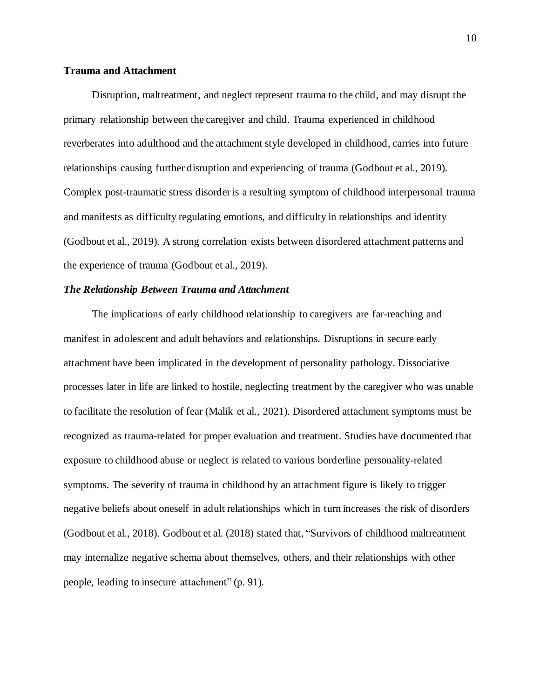### **Trauma and Attachment**

Disruption, maltreatment, and neglect represent trauma to the child, and may disrupt the primary relationship between the caregiver and child. Trauma experienced in childhood reverberates into adulthood and the attachment style developed in childhood, carries into future relationships causing further disruption and experiencing of trauma (Godbout et al., 2019). Complex post-traumatic stress disorder is a resulting symptom of childhood interpersonal trauma and manifests as difficulty regulating emotions, and difficulty in relationships and identity (Godbout et al., 2019). A strong correlation exists between disordered attachment patterns and the experience of trauma (Godbout et al., 2019).

# *The Relationship Between Trauma and Attachment*

The implications of early childhood relationship to caregivers are far-reaching and manifest in adolescent and adult behaviors and relationships. Disruptions in secure early attachment have been implicated in the development of personality pathology. Dissociative processes later in life are linked to hostile, neglecting treatment by the caregiver who was unable to facilitate the resolution of fear (Malik et al., 2021). Disordered attachment symptoms must be recognized as trauma-related for proper evaluation and treatment. Studies have documented that exposure to childhood abuse or neglect is related to various borderline personality-related symptoms. The severity of trauma in childhood by an attachment figure is likely to trigger negative beliefs about oneself in adult relationships which in turn increases the risk of disorders (Godbout et al., 2018). Godbout et al. (2018) stated that, "Survivors of childhood maltreatment may internalize negative schema about themselves, others, and their relationships with other people, leading to insecure attachment" (p. 91).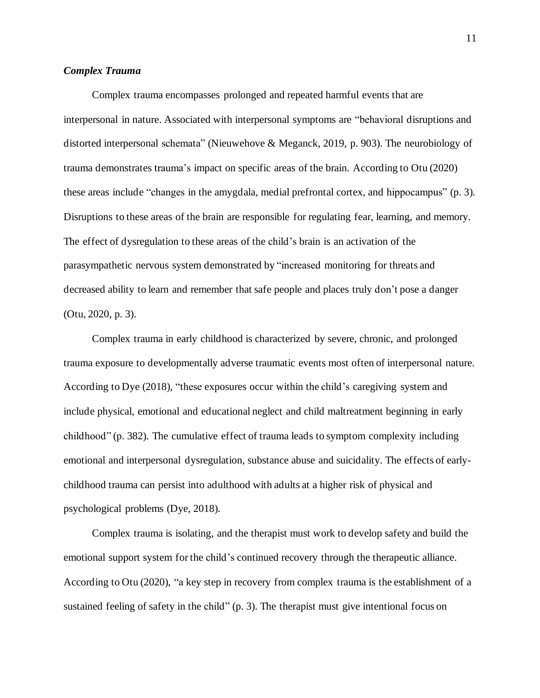# *Complex Trauma*

Complex trauma encompasses prolonged and repeated harmful events that are interpersonal in nature. Associated with interpersonal symptoms are "behavioral disruptions and distorted interpersonal schemata" (Nieuwehove & Meganck, 2019, p. 903). The neurobiology of trauma demonstrates trauma's impact on specific areas of the brain. According to Otu (2020) these areas include "changes in the amygdala, medial prefrontal cortex, and hippocampus" (p. 3). Disruptions to these areas of the brain are responsible for regulating fear, learning, and memory. The effect of dysregulation to these areas of the child's brain is an activation of the parasympathetic nervous system demonstrated by "increased monitoring for threats and decreased ability to learn and remember that safe people and places truly don't pose a danger (Otu, 2020, p. 3).

Complex trauma in early childhood is characterized by severe, chronic, and prolonged trauma exposure to developmentally adverse traumatic events most often of interpersonal nature. According to Dye (2018), "these exposures occur within the child's caregiving system and include physical, emotional and educational neglect and child maltreatment beginning in early childhood" (p. 382). The cumulative effect of trauma leads to symptom complexity including emotional and interpersonal dysregulation, substance abuse and suicidality. The effects of earlychildhood trauma can persist into adulthood with adults at a higher risk of physical and psychological problems (Dye, 2018).

Complex trauma is isolating, and the therapist must work to develop safety and build the emotional support system for the child's continued recovery through the therapeutic alliance. According to Otu (2020), "a key step in recovery from complex trauma is the establishment of a sustained feeling of safety in the child" (p. 3). The therapist must give intentional focus on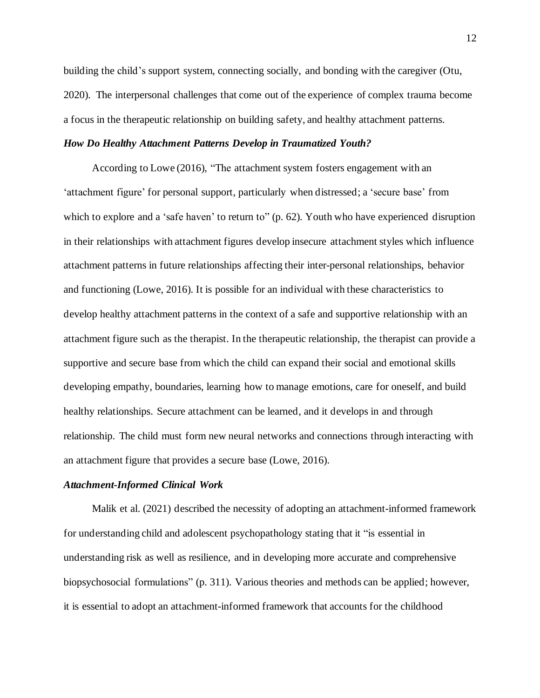building the child's support system, connecting socially, and bonding with the caregiver (Otu, 2020). The interpersonal challenges that come out of the experience of complex trauma become a focus in the therapeutic relationship on building safety, and healthy attachment patterns.

# *How Do Healthy Attachment Patterns Develop in Traumatized Youth?*

According to Lowe (2016), "The attachment system fosters engagement with an 'attachment figure' for personal support, particularly when distressed; a 'secure base' from which to explore and a 'safe haven' to return to" (p. 62). Youth who have experienced disruption in their relationships with attachment figures develop insecure attachment styles which influence attachment patterns in future relationships affecting their inter-personal relationships, behavior and functioning (Lowe, 2016). It is possible for an individual with these characteristics to develop healthy attachment patterns in the context of a safe and supportive relationship with an attachment figure such as the therapist. In the therapeutic relationship, the therapist can provide a supportive and secure base from which the child can expand their social and emotional skills developing empathy, boundaries, learning how to manage emotions, care for oneself, and build healthy relationships. Secure attachment can be learned, and it develops in and through relationship. The child must form new neural networks and connections through interacting with an attachment figure that provides a secure base (Lowe, 2016).

# *Attachment-Informed Clinical Work*

Malik et al. (2021) described the necessity of adopting an attachment-informed framework for understanding child and adolescent psychopathology stating that it "is essential in understanding risk as well as resilience, and in developing more accurate and comprehensive biopsychosocial formulations" (p. 311). Various theories and methods can be applied; however, it is essential to adopt an attachment-informed framework that accounts for the childhood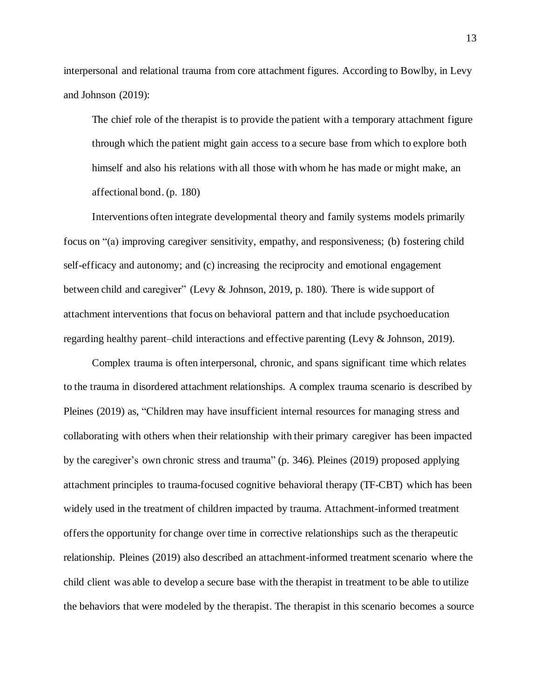interpersonal and relational trauma from core attachment figures. According to Bowlby, in Levy and Johnson (2019):

The chief role of the therapist is to provide the patient with a temporary attachment figure through which the patient might gain access to a secure base from which to explore both himself and also his relations with all those with whom he has made or might make, an affectional bond. (p. 180)

Interventions often integrate developmental theory and family systems models primarily focus on "(a) improving caregiver sensitivity, empathy, and responsiveness; (b) fostering child self-efficacy and autonomy; and (c) increasing the reciprocity and emotional engagement between child and caregiver" (Levy & Johnson, 2019, p. 180). There is wide support of attachment interventions that focus on behavioral pattern and that include psychoeducation regarding healthy parent–child interactions and effective parenting (Levy & Johnson, 2019).

Complex trauma is often interpersonal, chronic, and spans significant time which relates to the trauma in disordered attachment relationships. A complex trauma scenario is described by Pleines (2019) as, "Children may have insufficient internal resources for managing stress and collaborating with others when their relationship with their primary caregiver has been impacted by the caregiver's own chronic stress and trauma" (p. 346). Pleines (2019) proposed applying attachment principles to trauma-focused cognitive behavioral therapy (TF-CBT) which has been widely used in the treatment of children impacted by trauma. Attachment-informed treatment offersthe opportunity for change over time in corrective relationships such as the therapeutic relationship. Pleines (2019) also described an attachment-informed treatment scenario where the child client was able to develop a secure base with the therapist in treatment to be able to utilize the behaviors that were modeled by the therapist. The therapist in this scenario becomes a source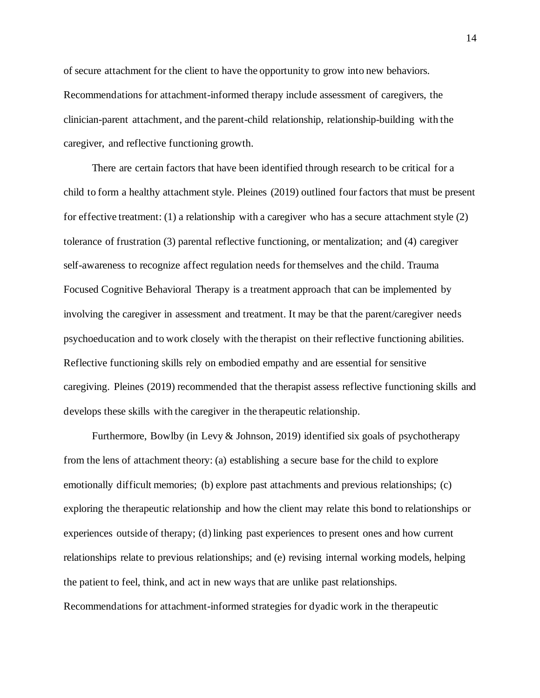of secure attachment for the client to have the opportunity to grow into new behaviors. Recommendations for attachment-informed therapy include assessment of caregivers, the clinician-parent attachment, and the parent-child relationship, relationship-building with the caregiver, and reflective functioning growth.

There are certain factors that have been identified through research to be critical for a child to form a healthy attachment style. Pleines (2019) outlined four factors that must be present for effective treatment: (1) a relationship with a caregiver who has a secure attachment style (2) tolerance of frustration (3) parental reflective functioning, or mentalization; and (4) caregiver self-awareness to recognize affect regulation needs for themselves and the child. Trauma Focused Cognitive Behavioral Therapy is a treatment approach that can be implemented by involving the caregiver in assessment and treatment. It may be that the parent/caregiver needs psychoeducation and to work closely with the therapist on their reflective functioning abilities. Reflective functioning skills rely on embodied empathy and are essential for sensitive caregiving. Pleines (2019) recommended that the therapist assess reflective functioning skills and develops these skills with the caregiver in the therapeutic relationship.

Furthermore, Bowlby (in Levy & Johnson, 2019) identified six goals of psychotherapy from the lens of attachment theory: (a) establishing a secure base for the child to explore emotionally difficult memories; (b) explore past attachments and previous relationships; (c) exploring the therapeutic relationship and how the client may relate this bond to relationships or experiences outside of therapy; (d) linking past experiences to present ones and how current relationships relate to previous relationships; and (e) revising internal working models, helping the patient to feel, think, and act in new ways that are unlike past relationships. Recommendations for attachment-informed strategies for dyadic work in the therapeutic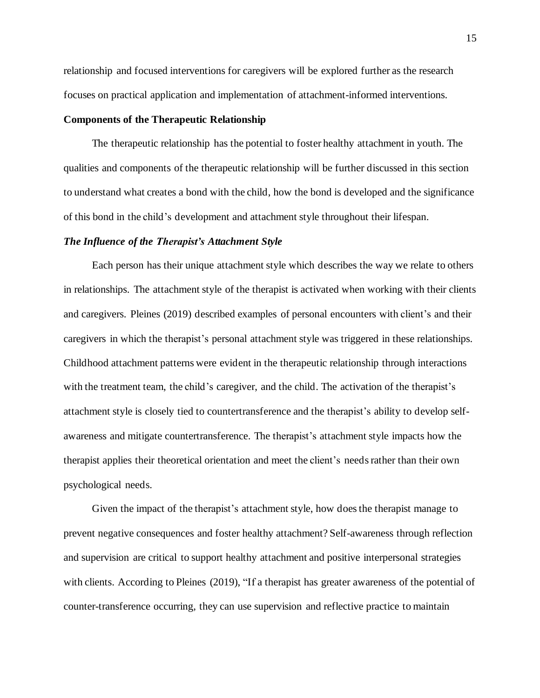relationship and focused interventions for caregivers will be explored further as the research focuses on practical application and implementation of attachment-informed interventions.

### **Components of the Therapeutic Relationship**

The therapeutic relationship has the potential to foster healthy attachment in youth. The qualities and components of the therapeutic relationship will be further discussed in this section to understand what creates a bond with the child, how the bond is developed and the significance of this bond in the child's development and attachment style throughout their lifespan.

#### *The Influence of the Therapist's Attachment Style*

Each person has their unique attachment style which describes the way we relate to others in relationships. The attachment style of the therapist is activated when working with their clients and caregivers. Pleines (2019) described examples of personal encounters with client's and their caregivers in which the therapist's personal attachment style was triggered in these relationships. Childhood attachment patterns were evident in the therapeutic relationship through interactions with the treatment team, the child's caregiver, and the child. The activation of the therapist's attachment style is closely tied to countertransference and the therapist's ability to develop selfawareness and mitigate countertransference. The therapist's attachment style impacts how the therapist applies their theoretical orientation and meet the client's needsrather than their own psychological needs.

Given the impact of the therapist's attachment style, how does the therapist manage to prevent negative consequences and foster healthy attachment? Self-awareness through reflection and supervision are critical to support healthy attachment and positive interpersonal strategies with clients. According to Pleines (2019), "If a therapist has greater awareness of the potential of counter-transference occurring, they can use supervision and reflective practice to maintain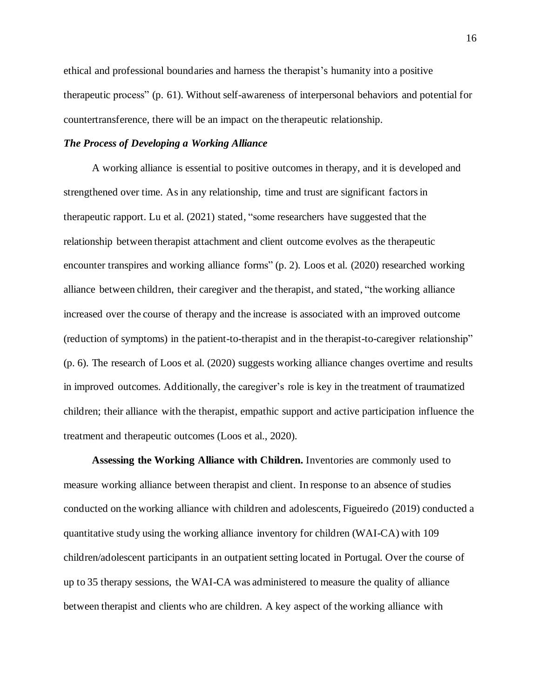ethical and professional boundaries and harness the therapist's humanity into a positive therapeutic process" (p. 61). Without self-awareness of interpersonal behaviors and potential for countertransference, there will be an impact on the therapeutic relationship.

# *The Process of Developing a Working Alliance*

A working alliance is essential to positive outcomes in therapy, and it is developed and strengthened over time. Asin any relationship, time and trust are significant factorsin therapeutic rapport. Lu et al. (2021) stated, "some researchers have suggested that the relationship between therapist attachment and client outcome evolves as the therapeutic encounter transpires and working alliance forms" (p. 2). Loos et al. (2020) researched working alliance between children, their caregiver and the therapist, and stated, "the working alliance increased over the course of therapy and the increase is associated with an improved outcome (reduction of symptoms) in the patient-to-therapist and in the therapist-to-caregiver relationship" (p. 6). The research of Loos et al. (2020) suggests working alliance changes overtime and results in improved outcomes. Additionally, the caregiver's role is key in the treatment of traumatized children; their alliance with the therapist, empathic support and active participation influence the treatment and therapeutic outcomes (Loos et al., 2020).

**Assessing the Working Alliance with Children.** Inventories are commonly used to measure working alliance between therapist and client. In response to an absence of studies conducted on the working alliance with children and adolescents, Figueiredo (2019) conducted a quantitative study using the working alliance inventory for children (WAI-CA) with 109 children/adolescent participants in an outpatient setting located in Portugal. Over the course of up to 35 therapy sessions, the WAI-CA was administered to measure the quality of alliance between therapist and clients who are children. A key aspect of the working alliance with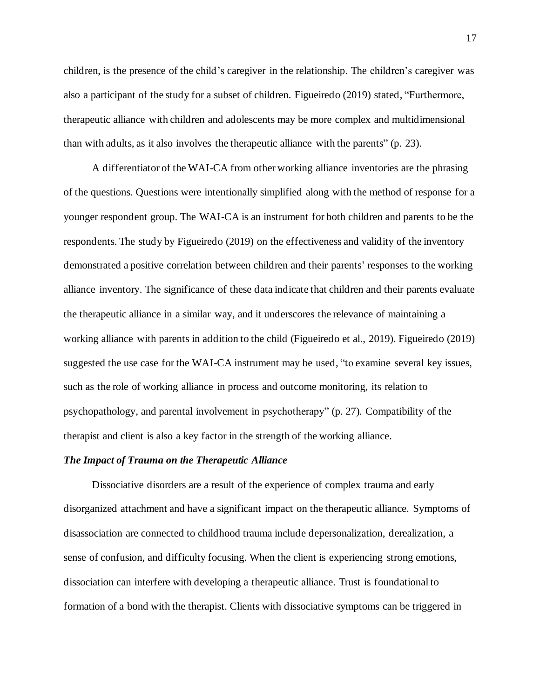children, is the presence of the child's caregiver in the relationship. The children's caregiver was also a participant of the study for a subset of children. Figueiredo (2019) stated, "Furthermore, therapeutic alliance with children and adolescents may be more complex and multidimensional than with adults, as it also involves the therapeutic alliance with the parents" (p. 23).

A differentiator of the WAI-CA from other working alliance inventories are the phrasing of the questions. Questions were intentionally simplified along with the method of response for a younger respondent group. The WAI-CA is an instrument for both children and parents to be the respondents. The study by Figueiredo (2019) on the effectiveness and validity of the inventory demonstrated a positive correlation between children and their parents' responses to the working alliance inventory. The significance of these data indicate that children and their parents evaluate the therapeutic alliance in a similar way, and it underscores the relevance of maintaining a working alliance with parents in addition to the child (Figueiredo et al., 2019). Figueiredo (2019) suggested the use case for the WAI-CA instrument may be used, "to examine several key issues, such as the role of working alliance in process and outcome monitoring, its relation to psychopathology, and parental involvement in psychotherapy" (p. 27). Compatibility of the therapist and client is also a key factor in the strength of the working alliance.

## *The Impact of Trauma on the Therapeutic Alliance*

Dissociative disorders are a result of the experience of complex trauma and early disorganized attachment and have a significant impact on the therapeutic alliance. Symptoms of disassociation are connected to childhood trauma include depersonalization, derealization, a sense of confusion, and difficulty focusing. When the client is experiencing strong emotions, dissociation can interfere with developing a therapeutic alliance. Trust is foundational to formation of a bond with the therapist. Clients with dissociative symptoms can be triggered in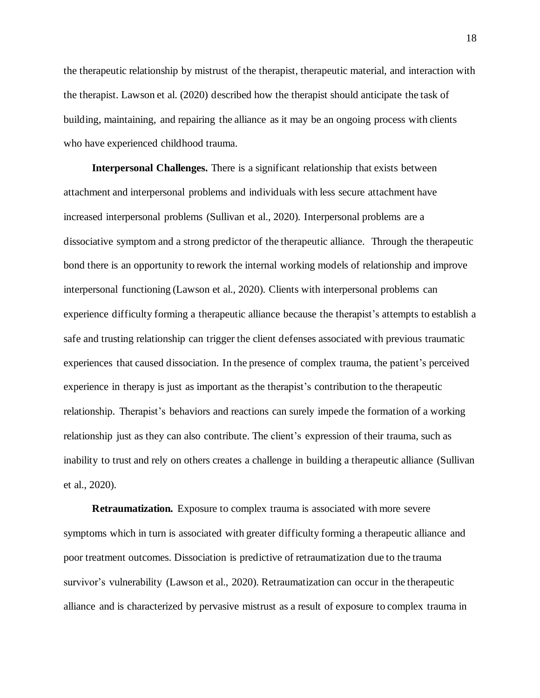the therapeutic relationship by mistrust of the therapist, therapeutic material, and interaction with the therapist. Lawson et al. (2020) described how the therapist should anticipate the task of building, maintaining, and repairing the alliance as it may be an ongoing process with clients who have experienced childhood trauma.

**Interpersonal Challenges.** There is a significant relationship that exists between attachment and interpersonal problems and individuals with less secure attachment have increased interpersonal problems (Sullivan et al., 2020). Interpersonal problems are a dissociative symptom and a strong predictor of the therapeutic alliance. Through the therapeutic bond there is an opportunity to rework the internal working models of relationship and improve interpersonal functioning (Lawson et al., 2020). Clients with interpersonal problems can experience difficulty forming a therapeutic alliance because the therapist's attempts to establish a safe and trusting relationship can trigger the client defenses associated with previous traumatic experiences that caused dissociation. In the presence of complex trauma, the patient's perceived experience in therapy is just as important as the therapist's contribution to the therapeutic relationship. Therapist's behaviors and reactions can surely impede the formation of a working relationship just as they can also contribute. The client's expression of their trauma, such as inability to trust and rely on others creates a challenge in building a therapeutic alliance (Sullivan et al., 2020).

**Retraumatization***.* Exposure to complex trauma is associated with more severe symptoms which in turn is associated with greater difficulty forming a therapeutic alliance and poor treatment outcomes. Dissociation is predictive of retraumatization due to the trauma survivor's vulnerability (Lawson et al., 2020). Retraumatization can occur in the therapeutic alliance and is characterized by pervasive mistrust as a result of exposure to complex trauma in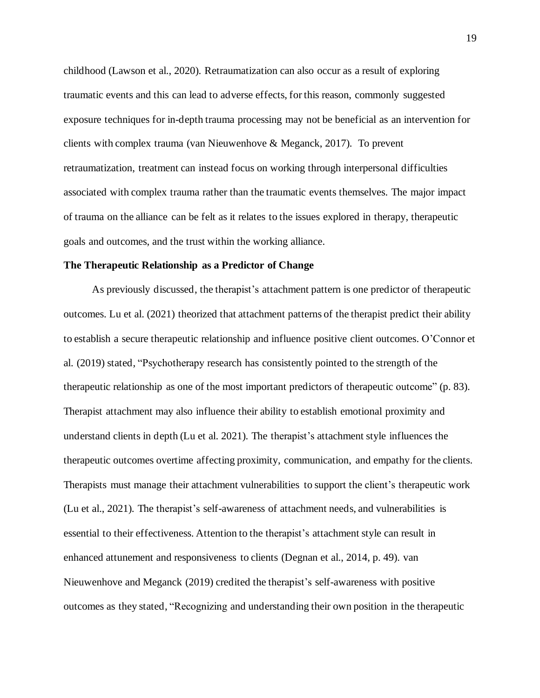childhood (Lawson et al., 2020). Retraumatization can also occur as a result of exploring traumatic events and this can lead to adverse effects, for this reason, commonly suggested exposure techniques for in-depth trauma processing may not be beneficial as an intervention for clients with complex trauma (van Nieuwenhove & Meganck, 2017). To prevent retraumatization, treatment can instead focus on working through interpersonal difficulties associated with complex trauma rather than the traumatic events themselves. The major impact of trauma on the alliance can be felt as it relates to the issues explored in therapy, therapeutic goals and outcomes, and the trust within the working alliance.

#### **The Therapeutic Relationship as a Predictor of Change**

As previously discussed, the therapist's attachment pattern is one predictor of therapeutic outcomes. Lu et al. (2021) theorized that attachment patterns of the therapist predict their ability to establish a secure therapeutic relationship and influence positive client outcomes. O'Connor et al. (2019) stated, "Psychotherapy research has consistently pointed to the strength of the therapeutic relationship as one of the most important predictors of therapeutic outcome" (p. 83). Therapist attachment may also influence their ability to establish emotional proximity and understand clients in depth (Lu et al. 2021). The therapist's attachment style influences the therapeutic outcomes overtime affecting proximity, communication, and empathy for the clients. Therapists must manage their attachment vulnerabilities to support the client's therapeutic work (Lu et al., 2021). The therapist's self-awareness of attachment needs, and vulnerabilities is essential to their effectiveness. Attention to the therapist's attachment style can result in enhanced attunement and responsiveness to clients (Degnan et al., 2014, p. 49). van Nieuwenhove and Meganck (2019) credited the therapist's self-awareness with positive outcomes as they stated, "Recognizing and understanding their own position in the therapeutic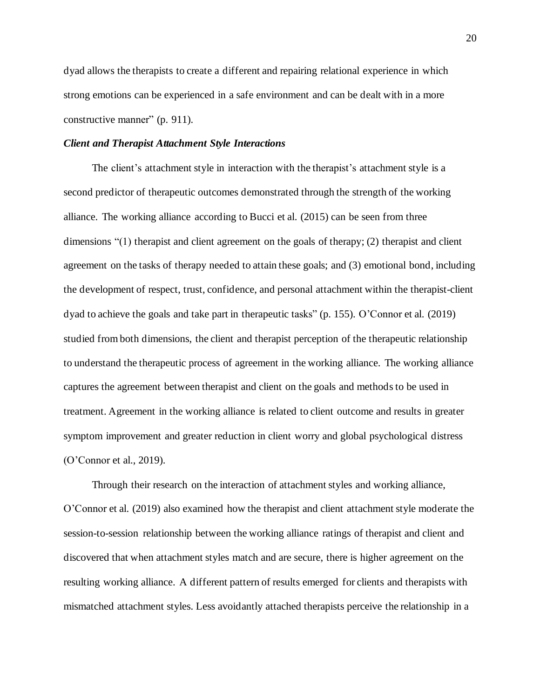dyad allows the therapists to create a different and repairing relational experience in which strong emotions can be experienced in a safe environment and can be dealt with in a more constructive manner" (p. 911).

#### *Client and Therapist Attachment Style Interactions*

The client's attachment style in interaction with the therapist's attachment style is a second predictor of therapeutic outcomes demonstrated through the strength of the working alliance. The working alliance according to Bucci et al. (2015) can be seen from three dimensions "(1) therapist and client agreement on the goals of therapy; (2) therapist and client agreement on the tasks of therapy needed to attain these goals; and (3) emotional bond, including the development of respect, trust, confidence, and personal attachment within the therapist-client dyad to achieve the goals and take part in therapeutic tasks" (p. 155). O'Connor et al. (2019) studied from both dimensions, the client and therapist perception of the therapeutic relationship to understand the therapeutic process of agreement in the working alliance. The working alliance captures the agreement between therapist and client on the goals and methods to be used in treatment. Agreement in the working alliance is related to client outcome and results in greater symptom improvement and greater reduction in client worry and global psychological distress (O'Connor et al., 2019).

Through their research on the interaction of attachment styles and working alliance, O'Connor et al. (2019) also examined how the therapist and client attachment style moderate the session-to-session relationship between the working alliance ratings of therapist and client and discovered that when attachment styles match and are secure, there is higher agreement on the resulting working alliance. A different pattern of results emerged for clients and therapists with mismatched attachment styles. Less avoidantly attached therapists perceive the relationship in a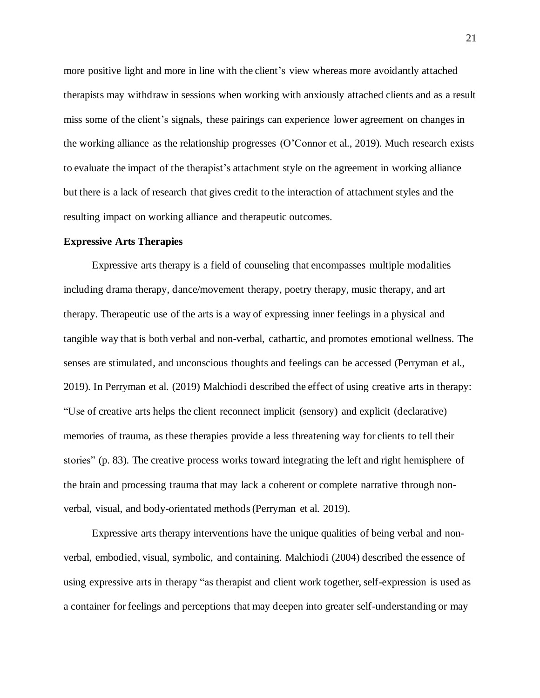more positive light and more in line with the client's view whereas more avoidantly attached therapists may withdraw in sessions when working with anxiously attached clients and as a result miss some of the client's signals, these pairings can experience lower agreement on changes in the working alliance as the relationship progresses (O'Connor et al., 2019). Much research exists to evaluate the impact of the therapist's attachment style on the agreement in working alliance but there is a lack of research that gives credit to the interaction of attachment styles and the resulting impact on working alliance and therapeutic outcomes.

#### **Expressive Arts Therapies**

Expressive arts therapy is a field of counseling that encompasses multiple modalities including drama therapy, dance/movement therapy, poetry therapy, music therapy, and art therapy. Therapeutic use of the arts is a way of expressing inner feelings in a physical and tangible way that is both verbal and non-verbal, cathartic, and promotes emotional wellness. The senses are stimulated, and unconscious thoughts and feelings can be accessed (Perryman et al., 2019). In Perryman et al. (2019) Malchiodi described the effect of using creative arts in therapy: "Use of creative arts helps the client reconnect implicit (sensory) and explicit (declarative) memories of trauma, as these therapies provide a less threatening way for clients to tell their stories" (p. 83). The creative process works toward integrating the left and right hemisphere of the brain and processing trauma that may lack a coherent or complete narrative through nonverbal, visual, and body-orientated methods(Perryman et al. 2019).

Expressive arts therapy interventions have the unique qualities of being verbal and nonverbal, embodied, visual, symbolic, and containing. Malchiodi (2004) described the essence of using expressive arts in therapy "as therapist and client work together, self-expression is used as a container for feelings and perceptions that may deepen into greater self-understanding or may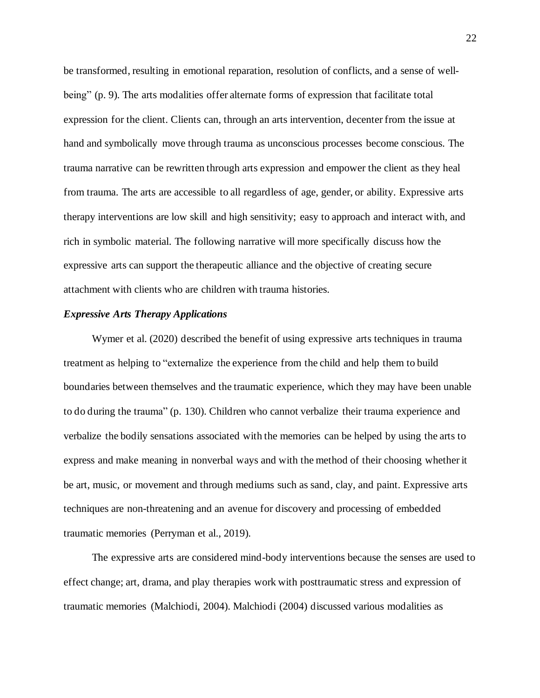be transformed, resulting in emotional reparation, resolution of conflicts, and a sense of wellbeing" (p. 9). The arts modalities offer alternate forms of expression that facilitate total expression for the client. Clients can, through an arts intervention, decenter from the issue at hand and symbolically move through trauma as unconscious processes become conscious. The trauma narrative can be rewritten through arts expression and empower the client as they heal from trauma. The arts are accessible to all regardless of age, gender, or ability. Expressive arts therapy interventions are low skill and high sensitivity; easy to approach and interact with, and rich in symbolic material. The following narrative will more specifically discuss how the expressive arts can support the therapeutic alliance and the objective of creating secure attachment with clients who are children with trauma histories.

#### *Expressive Arts Therapy Applications*

Wymer et al. (2020) described the benefit of using expressive arts techniques in trauma treatment as helping to "externalize the experience from the child and help them to build boundaries between themselves and the traumatic experience, which they may have been unable to do during the trauma" (p. 130). Children who cannot verbalize their trauma experience and verbalize the bodily sensations associated with the memories can be helped by using the arts to express and make meaning in nonverbal ways and with the method of their choosing whether it be art, music, or movement and through mediums such as sand, clay, and paint. Expressive arts techniques are non-threatening and an avenue for discovery and processing of embedded traumatic memories (Perryman et al., 2019).

The expressive arts are considered mind-body interventions because the senses are used to effect change; art, drama, and play therapies work with posttraumatic stress and expression of traumatic memories (Malchiodi, 2004). Malchiodi (2004) discussed various modalities as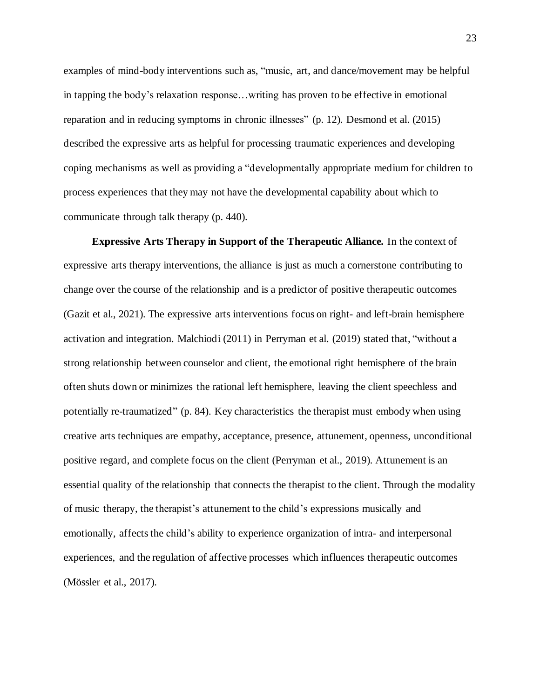examples of mind-body interventions such as, "music, art, and dance/movement may be helpful in tapping the body's relaxation response…writing has proven to be effective in emotional reparation and in reducing symptoms in chronic illnesses" (p. 12). Desmond et al. (2015) described the expressive arts as helpful for processing traumatic experiences and developing coping mechanisms as well as providing a "developmentally appropriate medium for children to process experiences that they may not have the developmental capability about which to communicate through talk therapy (p. 440).

**Expressive Arts Therapy in Support of the Therapeutic Alliance***.* In the context of expressive arts therapy interventions, the alliance is just as much a cornerstone contributing to change over the course of the relationship and is a predictor of positive therapeutic outcomes (Gazit et al., 2021). The expressive arts interventions focus on right- and left-brain hemisphere activation and integration. Malchiodi (2011) in Perryman et al. (2019) stated that, "without a strong relationship between counselor and client, the emotional right hemisphere of the brain often shuts down or minimizes the rational left hemisphere, leaving the client speechless and potentially re-traumatized" (p. 84). Key characteristics the therapist must embody when using creative arts techniques are empathy, acceptance, presence, attunement, openness, unconditional positive regard, and complete focus on the client (Perryman et al., 2019). Attunement is an essential quality of the relationship that connects the therapist to the client. Through the modality of music therapy, the therapist's attunement to the child's expressions musically and emotionally, affects the child's ability to experience organization of intra- and interpersonal experiences, and the regulation of affective processes which influences therapeutic outcomes (Mössler et al., 2017).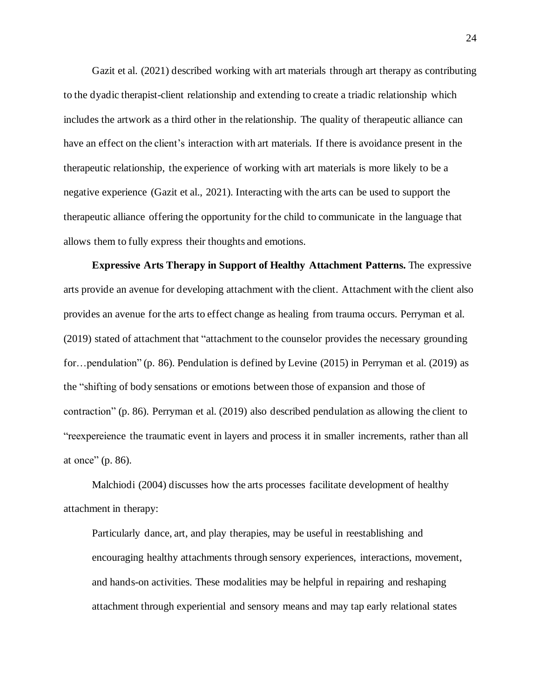Gazit et al. (2021) described working with art materials through art therapy as contributing to the dyadic therapist-client relationship and extending to create a triadic relationship which includes the artwork as a third other in the relationship. The quality of therapeutic alliance can have an effect on the client's interaction with art materials. If there is avoidance present in the therapeutic relationship, the experience of working with art materials is more likely to be a negative experience (Gazit et al., 2021). Interacting with the arts can be used to support the therapeutic alliance offering the opportunity for the child to communicate in the language that allows them to fully express their thoughts and emotions.

**Expressive Arts Therapy in Support of Healthy Attachment Patterns.** The expressive arts provide an avenue for developing attachment with the client. Attachment with the client also provides an avenue for the arts to effect change as healing from trauma occurs. Perryman et al. (2019) stated of attachment that "attachment to the counselor provides the necessary grounding for…pendulation" (p. 86). Pendulation is defined by Levine (2015) in Perryman et al. (2019) as the "shifting of body sensations or emotions between those of expansion and those of contraction" (p. 86). Perryman et al. (2019) also described pendulation as allowing the client to "reexpereience the traumatic event in layers and process it in smaller increments, rather than all at once" (p. 86).

Malchiodi (2004) discusses how the arts processes facilitate development of healthy attachment in therapy:

Particularly dance, art, and play therapies, may be useful in reestablishing and encouraging healthy attachments through sensory experiences, interactions, movement, and hands-on activities. These modalities may be helpful in repairing and reshaping attachment through experiential and sensory means and may tap early relational states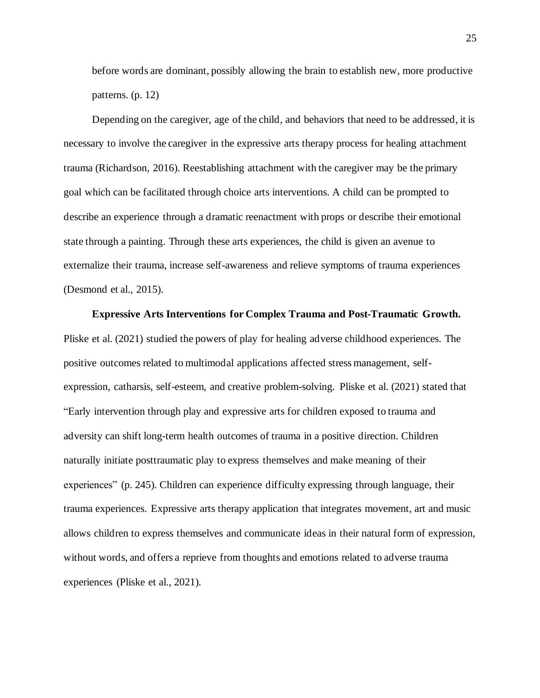before words are dominant, possibly allowing the brain to establish new, more productive patterns. (p. 12)

Depending on the caregiver, age of the child, and behaviors that need to be addressed, it is necessary to involve the caregiver in the expressive arts therapy process for healing attachment trauma (Richardson, 2016). Reestablishing attachment with the caregiver may be the primary goal which can be facilitated through choice arts interventions. A child can be prompted to describe an experience through a dramatic reenactment with props or describe their emotional state through a painting. Through these arts experiences, the child is given an avenue to externalize their trauma, increase self-awareness and relieve symptoms of trauma experiences (Desmond et al., 2015).

**Expressive Arts Interventions for Complex Trauma and Post-Traumatic Growth.** Pliske et al. (2021) studied the powers of play for healing adverse childhood experiences. The positive outcomes related to multimodal applications affected stress management, selfexpression, catharsis, self-esteem, and creative problem-solving. Pliske et al. (2021) stated that "Early intervention through play and expressive arts for children exposed to trauma and adversity can shift long-term health outcomes of trauma in a positive direction. Children naturally initiate posttraumatic play to express themselves and make meaning of their experiences" (p. 245). Children can experience difficulty expressing through language, their trauma experiences. Expressive arts therapy application that integrates movement, art and music allows children to express themselves and communicate ideas in their natural form of expression, without words, and offers a reprieve from thoughts and emotions related to adverse trauma experiences (Pliske et al., 2021).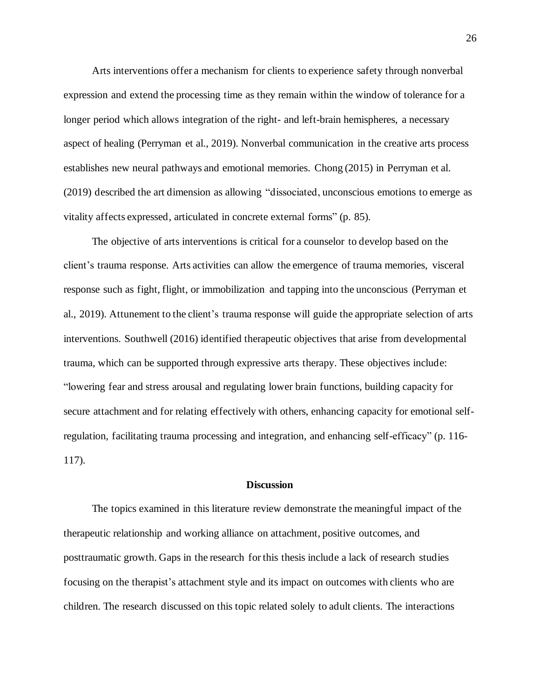Arts interventions offer a mechanism for clients to experience safety through nonverbal expression and extend the processing time as they remain within the window of tolerance for a longer period which allows integration of the right- and left-brain hemispheres, a necessary aspect of healing (Perryman et al., 2019). Nonverbal communication in the creative arts process establishes new neural pathways and emotional memories. Chong (2015) in Perryman et al. (2019) described the art dimension as allowing "dissociated, unconscious emotions to emerge as vitality affects expressed, articulated in concrete external forms" (p. 85).

The objective of arts interventions is critical for a counselor to develop based on the client's trauma response. Arts activities can allow the emergence of trauma memories, visceral response such as fight, flight, or immobilization and tapping into the unconscious (Perryman et al., 2019). Attunement to the client's trauma response will guide the appropriate selection of arts interventions. Southwell (2016) identified therapeutic objectives that arise from developmental trauma, which can be supported through expressive arts therapy. These objectives include: "lowering fear and stress arousal and regulating lower brain functions, building capacity for secure attachment and for relating effectively with others, enhancing capacity for emotional selfregulation, facilitating trauma processing and integration, and enhancing self-efficacy" (p. 116- 117).

# **Discussion**

The topics examined in this literature review demonstrate the meaningful impact of the therapeutic relationship and working alliance on attachment, positive outcomes, and posttraumatic growth. Gaps in the research for this thesis include a lack of research studies focusing on the therapist's attachment style and its impact on outcomes with clients who are children. The research discussed on this topic related solely to adult clients. The interactions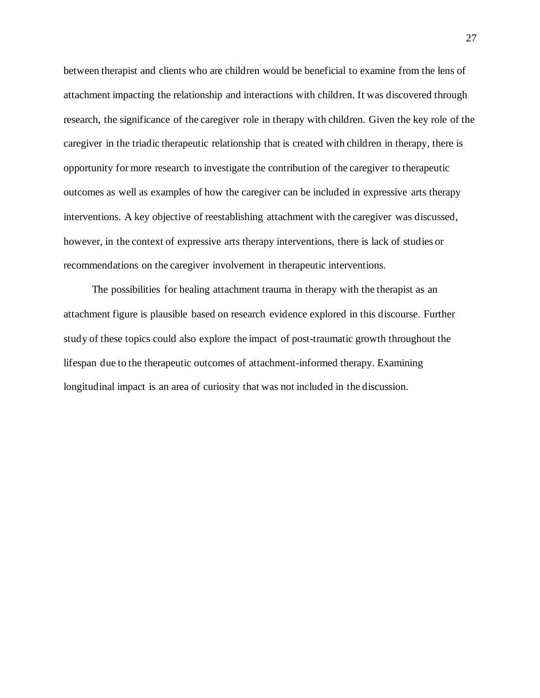between therapist and clients who are children would be beneficial to examine from the lens of attachment impacting the relationship and interactions with children. It was discovered through research, the significance of the caregiver role in therapy with children. Given the key role of the caregiver in the triadic therapeutic relationship that is created with children in therapy, there is opportunity for more research to investigate the contribution of the caregiver to therapeutic outcomes as well as examples of how the caregiver can be included in expressive arts therapy interventions. A key objective of reestablishing attachment with the caregiver was discussed, however, in the context of expressive arts therapy interventions, there is lack of studies or recommendations on the caregiver involvement in therapeutic interventions.

The possibilities for healing attachment trauma in therapy with the therapist as an attachment figure is plausible based on research evidence explored in this discourse. Further study of these topics could also explore the impact of post-traumatic growth throughout the lifespan due to the therapeutic outcomes of attachment-informed therapy. Examining longitudinal impact is an area of curiosity that was not included in the discussion.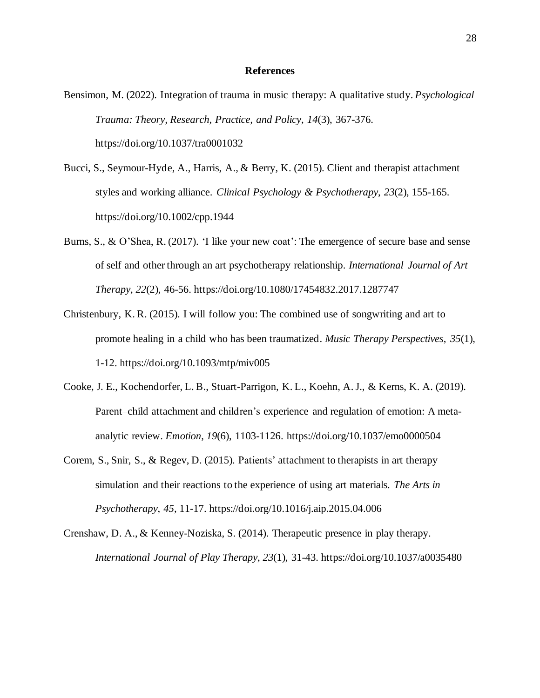#### **References**

- Bensimon, M. (2022). Integration of trauma in music therapy: A qualitative study. *Psychological Trauma: Theory, Research, Practice, and Policy*, *14*(3), 367-376. https://doi.org/10.1037/tra0001032
- Bucci, S., Seymour-Hyde, A., Harris, A., & Berry, K. (2015). Client and therapist attachment styles and working alliance. *Clinical Psychology & Psychotherapy*, *23*(2), 155-165. https://doi.org/10.1002/cpp.1944
- Burns, S., & O'Shea, R. (2017). 'I like your new coat': The emergence of secure base and sense of self and other through an art psychotherapy relationship. *International Journal of Art Therapy*, *22*(2), 46-56. https://doi.org/10.1080/17454832.2017.1287747
- Christenbury, K. R. (2015). I will follow you: The combined use of songwriting and art to promote healing in a child who has been traumatized. *Music Therapy Perspectives*, *35*(1), 1-12. https://doi.org/10.1093/mtp/miv005
- Cooke, J. E., Kochendorfer, L. B., Stuart-Parrigon, K. L., Koehn, A.J., & Kerns, K. A. (2019). Parent–child attachment and children's experience and regulation of emotion: A metaanalytic review. *Emotion*, *19*(6), 1103-1126. https://doi.org/10.1037/emo0000504
- Corem, S., Snir, S., & Regev, D. (2015). Patients' attachment to therapists in art therapy simulation and their reactions to the experience of using art materials. *The Arts in Psychotherapy*, *45*, 11-17. https://doi.org/10.1016/j.aip.2015.04.006
- Crenshaw, D. A., & Kenney-Noziska, S. (2014). Therapeutic presence in play therapy. *International Journal of Play Therapy*, *23*(1), 31-43. https://doi.org/10.1037/a0035480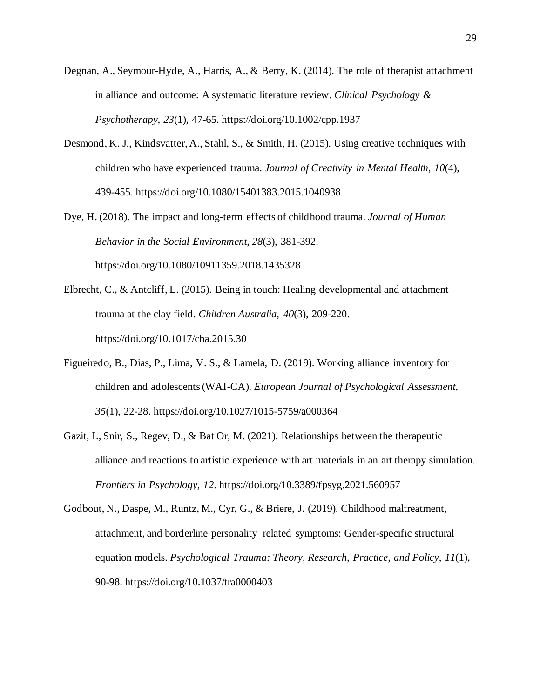- Degnan, A., Seymour-Hyde, A., Harris, A., & Berry, K. (2014). The role of therapist attachment in alliance and outcome: A systematic literature review. *Clinical Psychology & Psychotherapy*, *23*(1), 47-65. https://doi.org/10.1002/cpp.1937
- Desmond, K. J., Kindsvatter, A., Stahl, S., & Smith, H. (2015). Using creative techniques with children who have experienced trauma. *Journal of Creativity in Mental Health*, *10*(4), 439-455. https://doi.org/10.1080/15401383.2015.1040938
- Dye, H. (2018). The impact and long-term effects of childhood trauma. *Journal of Human Behavior in the Social Environment*, *28*(3), 381-392. https://doi.org/10.1080/10911359.2018.1435328
- Elbrecht, C., & Antcliff, L. (2015). Being in touch: Healing developmental and attachment trauma at the clay field. *Children Australia*, *40*(3), 209-220. https://doi.org/10.1017/cha.2015.30
- Figueiredo, B., Dias, P., Lima, V. S., & Lamela, D. (2019). Working alliance inventory for children and adolescents(WAI-CA). *European Journal of Psychological Assessment*, *35*(1), 22-28. https://doi.org/10.1027/1015-5759/a000364
- Gazit, I., Snir, S., Regev, D., & Bat Or, M. (2021). Relationships between the therapeutic alliance and reactions to artistic experience with art materials in an art therapy simulation. *Frontiers in Psychology*, *12*. https://doi.org/10.3389/fpsyg.2021.560957
- Godbout, N., Daspe, M., Runtz, M., Cyr, G., & Briere, J. (2019). Childhood maltreatment, attachment, and borderline personality–related symptoms: Gender-specific structural equation models. *Psychological Trauma: Theory, Research, Practice, and Policy*, *11*(1), 90-98. https://doi.org/10.1037/tra0000403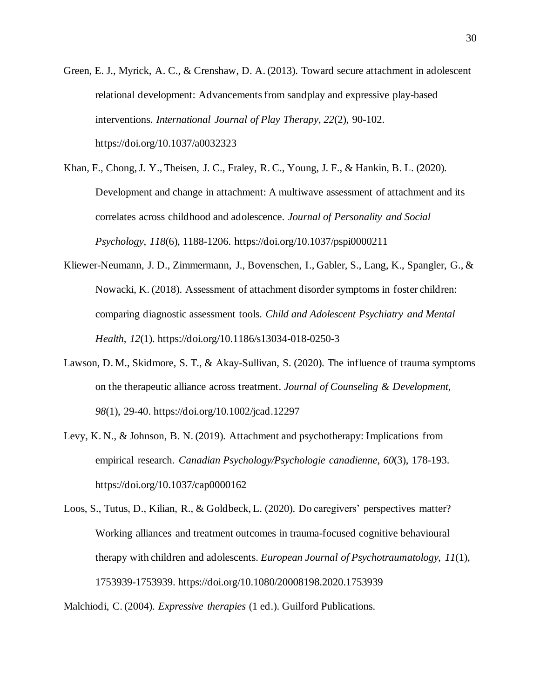- Green, E. J., Myrick, A. C., & Crenshaw, D. A. (2013). Toward secure attachment in adolescent relational development: Advancementsfrom sandplay and expressive play-based interventions. *International Journal of Play Therapy*, *22*(2), 90-102. https://doi.org/10.1037/a0032323
- Khan, F., Chong,J. Y., Theisen, J. C., Fraley, R. C., Young, J. F., & Hankin, B. L. (2020). Development and change in attachment: A multiwave assessment of attachment and its correlates across childhood and adolescence. *Journal of Personality and Social Psychology*, *118*(6), 1188-1206. https://doi.org/10.1037/pspi0000211
- Kliewer-Neumann, J. D., Zimmermann, J., Bovenschen, I., Gabler, S., Lang, K., Spangler, G., & Nowacki, K. (2018). Assessment of attachment disorder symptoms in foster children: comparing diagnostic assessment tools. *Child and Adolescent Psychiatry and Mental Health*, *12*(1). https://doi.org/10.1186/s13034-018-0250-3
- Lawson, D. M., Skidmore, S. T., & Akay-Sullivan, S. (2020). The influence of trauma symptoms on the therapeutic alliance across treatment. *Journal of Counseling & Development*, *98*(1), 29-40. https://doi.org/10.1002/jcad.12297
- Levy, K. N., & Johnson, B. N. (2019). Attachment and psychotherapy: Implications from empirical research. *Canadian Psychology/Psychologie canadienne*, *60*(3), 178-193. https://doi.org/10.1037/cap0000162
- Loos, S., Tutus, D., Kilian, R., & Goldbeck, L. (2020). Do caregivers' perspectives matter? Working alliances and treatment outcomes in trauma-focused cognitive behavioural therapy with children and adolescents. *European Journal of Psychotraumatology*, *11*(1), 1753939-1753939. https://doi.org/10.1080/20008198.2020.1753939

Malchiodi, C. (2004). *Expressive therapies* (1 ed.). Guilford Publications.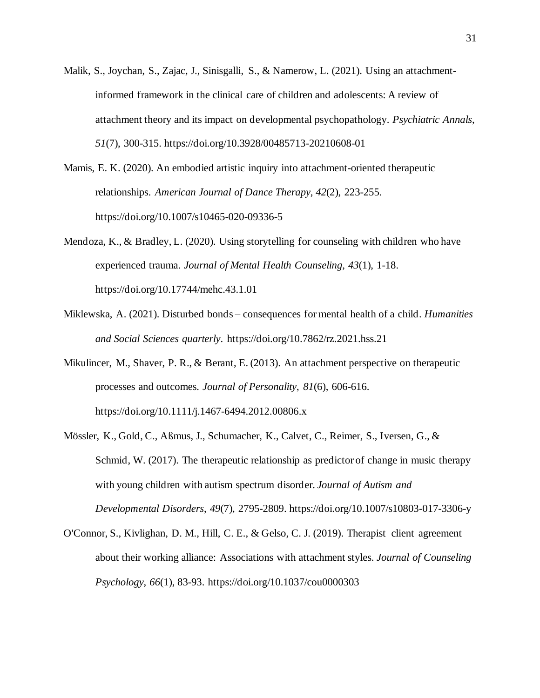Malik, S., Joychan, S., Zajac, J., Sinisgalli, S., & Namerow, L. (2021). Using an attachmentinformed framework in the clinical care of children and adolescents: A review of attachment theory and its impact on developmental psychopathology. *Psychiatric Annals*, *51*(7), 300-315. https://doi.org/10.3928/00485713-20210608-01

Mamis, E. K. (2020). An embodied artistic inquiry into attachment-oriented therapeutic relationships. *American Journal of Dance Therapy*, *42*(2), 223-255. https://doi.org/10.1007/s10465-020-09336-5

- Mendoza, K., & Bradley, L. (2020). Using storytelling for counseling with children who have experienced trauma. *Journal of Mental Health Counseling*, *43*(1), 1-18. https://doi.org/10.17744/mehc.43.1.01
- Miklewska, A. (2021). Disturbed bonds consequences for mental health of a child. *Humanities and Social Sciences quarterly*. https://doi.org/10.7862/rz.2021.hss.21
- Mikulincer, M., Shaver, P. R., & Berant, E. (2013). An attachment perspective on therapeutic processes and outcomes. *Journal of Personality*, *81*(6), 606-616. https://doi.org/10.1111/j.1467-6494.2012.00806.x
- Mössler, K., Gold, C., Aßmus, J., Schumacher, K., Calvet, C., Reimer, S., Iversen, G., & Schmid, W. (2017). The therapeutic relationship as predictor of change in music therapy with young children with autism spectrum disorder. *Journal of Autism and Developmental Disorders*, *49*(7), 2795-2809. https://doi.org/10.1007/s10803-017-3306-y
- O'Connor, S., Kivlighan, D. M., Hill, C. E., & Gelso, C. J. (2019). Therapist–client agreement about their working alliance: Associations with attachment styles. *Journal of Counseling Psychology*, *66*(1), 83-93. https://doi.org/10.1037/cou0000303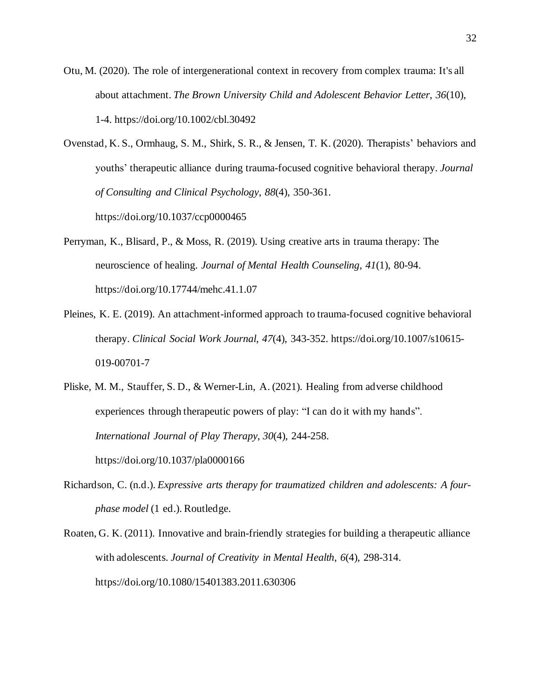Otu, M. (2020). The role of intergenerational context in recovery from complex trauma: It's all about attachment. *The Brown University Child and Adolescent Behavior Letter*, *36*(10), 1-4. https://doi.org/10.1002/cbl.30492

Ovenstad, K. S., Ormhaug, S. M., Shirk, S. R., & Jensen, T. K. (2020). Therapists' behaviors and youths' therapeutic alliance during trauma-focused cognitive behavioral therapy. *Journal of Consulting and Clinical Psychology*, *88*(4), 350-361.

https://doi.org/10.1037/ccp0000465

- Perryman, K., Blisard, P., & Moss, R. (2019). Using creative arts in trauma therapy: The neuroscience of healing. *Journal of Mental Health Counseling*, *41*(1), 80-94. https://doi.org/10.17744/mehc.41.1.07
- Pleines, K. E. (2019). An attachment-informed approach to trauma-focused cognitive behavioral therapy. *Clinical Social Work Journal*, *47*(4), 343-352. https://doi.org/10.1007/s10615- 019-00701-7
- Pliske, M. M., Stauffer, S. D., & Werner-Lin, A. (2021). Healing from adverse childhood experiences through therapeutic powers of play: "I can do it with my hands". *International Journal of Play Therapy*, *30*(4), 244-258. https://doi.org/10.1037/pla0000166
- Richardson, C. (n.d.). *Expressive arts therapy for traumatized children and adolescents: A fourphase model* (1 ed.). Routledge.
- Roaten, G. K. (2011). Innovative and brain-friendly strategies for building a therapeutic alliance with adolescents. *Journal of Creativity in Mental Health*, *6*(4), 298-314. https://doi.org/10.1080/15401383.2011.630306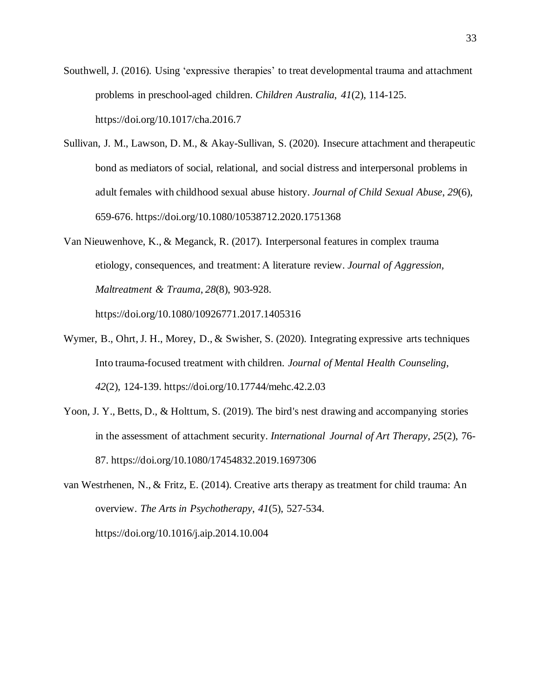- Southwell, J. (2016). Using 'expressive therapies' to treat developmental trauma and attachment problems in preschool-aged children. *Children Australia*, *41*(2), 114-125. https://doi.org/10.1017/cha.2016.7
- Sullivan, J. M., Lawson, D. M., & Akay-Sullivan, S. (2020). Insecure attachment and therapeutic bond as mediators of social, relational, and social distress and interpersonal problems in adult females with childhood sexual abuse history. *Journal of Child Sexual Abuse*, *29*(6), 659-676. https://doi.org/10.1080/10538712.2020.1751368
- Van Nieuwenhove, K., & Meganck, R. (2017). Interpersonal features in complex trauma etiology, consequences, and treatment: A literature review. *Journal of Aggression, Maltreatment & Trauma*, *28*(8), 903-928.

https://doi.org/10.1080/10926771.2017.1405316

- Wymer, B., Ohrt,J. H., Morey, D., & Swisher, S. (2020). Integrating expressive arts techniques Into trauma-focused treatment with children. *Journal of Mental Health Counseling*, *42*(2), 124-139. https://doi.org/10.17744/mehc.42.2.03
- Yoon, J. Y., Betts, D., & Holttum, S. (2019). The bird's nest drawing and accompanying stories in the assessment of attachment security. *International Journal of Art Therapy*, *25*(2), 76- 87. https://doi.org/10.1080/17454832.2019.1697306
- van Westrhenen, N., & Fritz, E. (2014). Creative arts therapy as treatment for child trauma: An overview. *The Arts in Psychotherapy*, *41*(5), 527-534. https://doi.org/10.1016/j.aip.2014.10.004